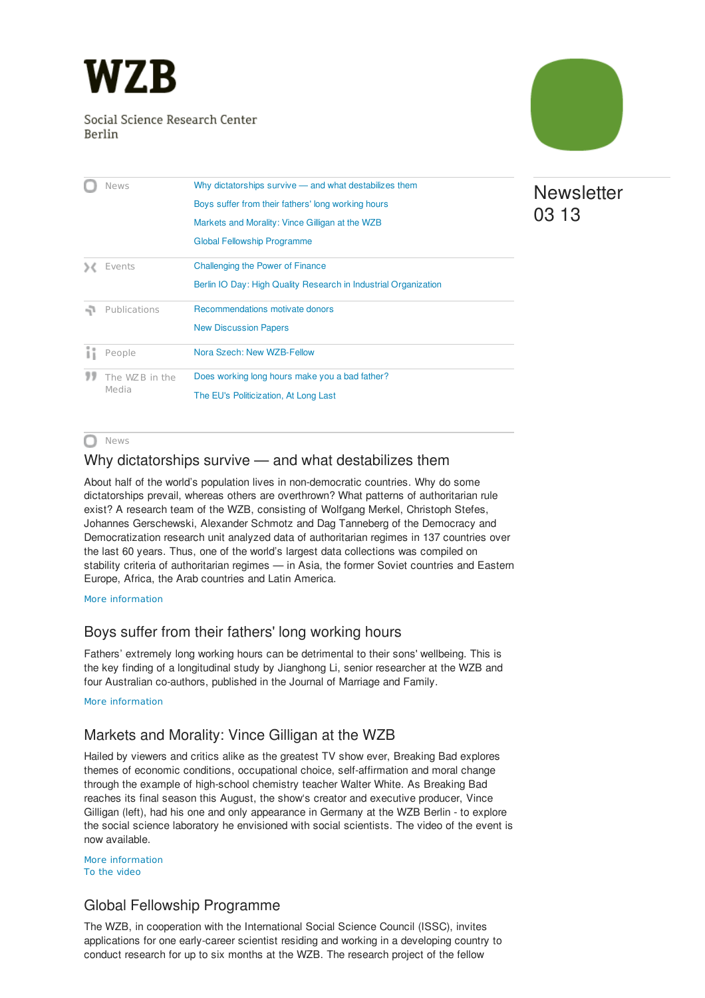<span id="page-0-4"></span>

#### Social Science Research Center Berlin



| News                    | Why dictatorships survive - and what destabilizes them          |
|-------------------------|-----------------------------------------------------------------|
|                         | Boys suffer from their fathers' long working hours              |
|                         | Markets and Morality: Vince Gilligan at the WZB                 |
|                         | Global Fellowship Programme                                     |
| Events                  | Challenging the Power of Finance                                |
|                         | Berlin IO Day: High Quality Research in Industrial Organization |
| Publications            | Recommendations motivate donors                                 |
|                         | <b>New Discussion Papers</b>                                    |
| People                  | Nora Szech: New WZB-Fellow                                      |
| The WZB in the<br>Media | Does working long hours make you a bad father?                  |
|                         | The EU's Politicization, At Long Last                           |

# **Newsletter** 03 13

#### News n

### <span id="page-0-0"></span>Why dictatorships survive — and what destabilizes them

About half of the world's population lives in non-democratic countries. Why do some dictatorships prevail, whereas others are overthrown? What patterns of authoritarian rule exist? A research team of the WZB, consisting of Wolfgang Merkel, Christoph Stefes, Johannes Gerschewski, Alexander Schmotz and Dag Tanneberg of the Democracy and Democratization research unit analyzed data of authoritarian regimes in 137 countries over the last 60 years. Thus, one of the world's largest data collections was compiled on stability criteria of authoritarian regimes — in Asia, the former Soviet countries and Eastern Europe, Africa, the Arab countries and Latin America.

More [information](http://www.wzb.eu/en/press-release/why-dictatorships-survive-and-what-destabilizes-them)

### <span id="page-0-1"></span>Boys suffer from their fathers' long working hours

Fathers' extremely long working hours can be detrimental to their sons' wellbeing. This is the key finding of a longitudinal study by Jianghong Li, senior researcher at the WZB and four Australian co-authors, published in the Journal of Marriage and Family.

More [information](http://www.wzb.eu/en/press-release/boys-suffer-from-their-fathers-long-working-hours)

## <span id="page-0-2"></span>Markets and Morality: Vince Gilligan at the WZB

Hailed by viewers and critics alike as the greatest TV show ever, Breaking Bad explores themes of economic conditions, occupational choice, self-affirmation and moral change through the example of high-school chemistry teacher Walter White. As Breaking Bad reaches its final season this August, the show's creator and executive producer, Vince Gilligan (left), had his one and only appearance in Germany at the WZB Berlin - to explore the social science laboratory he envisioned with social scientists. The video of the event is now available.

More [information](http://www.wzb.eu/en/events/vince-gilligan-in-conversation) To the [video](http://www.youtube.com/watch?v=dLNtlyvQ8Hw)

### <span id="page-0-3"></span>Global Fellowship Programme

The WZB, in cooperation with the International Social Science Council (ISSC), invites applications for one early-career scientist residing and working in a developing country to conduct research for up to six months at the WZB. The research project of the fellow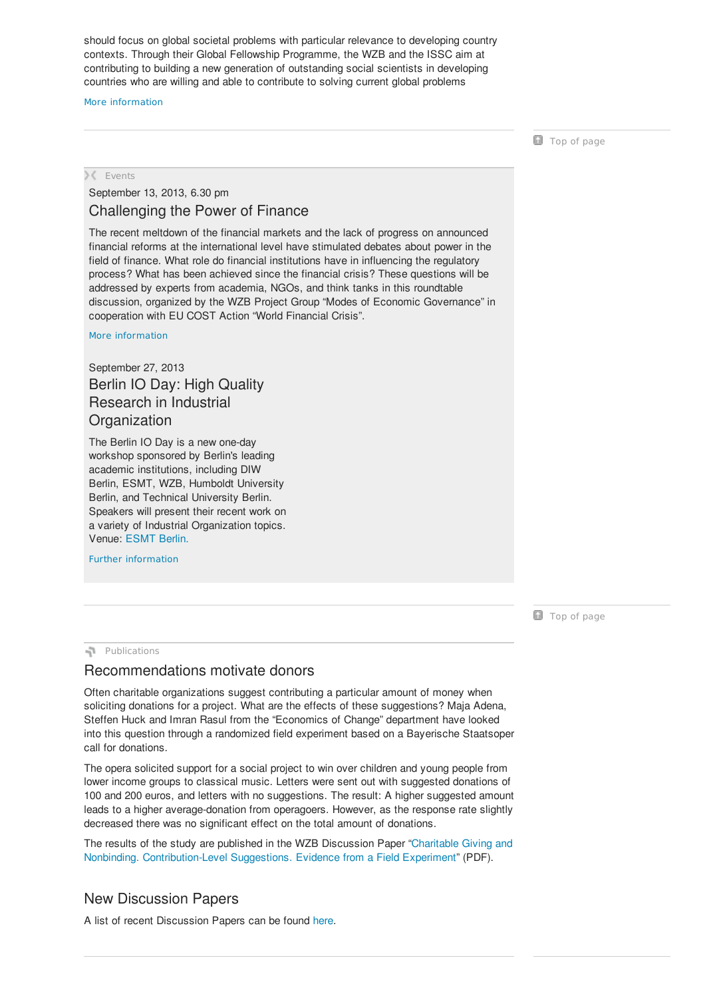should focus on global societal problems with particular relevance to developing country contexts. Through their Global Fellowship Programme, the WZB and the ISSC aim at contributing to building a new generation of outstanding social scientists in developing countries who are willing and able to contribute to solving current global problems

#### More [information](http://www.wzb.eu/en/jobs/wzb-issc-global-fellowship-programme)

**Top of [page](#page-0-4)** 

**X** Events

#### <span id="page-1-0"></span>September 13, 2013, 6.30 pm Challenging the Power of Finance

The recent meltdown of the financial markets and the lack of progress on announced financial reforms at the international level have stimulated debates about power in the field of finance. What role do financial institutions have in influencing the regulatory process? What has been achieved since the financial crisis? These questions will be addressed by experts from academia, NGOs, and think tanks in this roundtable discussion, organized by the WZB Project Group "Modes of Economic Governance" in cooperation with EU COST Action "World Financial Crisis".

More [information](http://www.wzb.eu/de/veranstaltungen/challenging-the-power-of-finance)

### <span id="page-1-1"></span>September 27, 2013 Berlin IO Day: High Quality Research in Industrial **Organization**

The Berlin IO Day is a new one-day workshop sponsored by Berlin's leading academic institutions, including DIW Berlin, ESMT, WZB, Humboldt University Berlin, and Technical University Berlin. Speakers will present their recent work on a variety of Industrial Organization topics. Venue: [ESMT](http://www.esmt.org/?) Berlin.

Further [information](http://www.wzb.eu/en/events/berlin-io-day-high-quality-research-in-industrial-organization)

**Top of [page](#page-0-4)** 

**Publications** 

#### <span id="page-1-2"></span>Recommendations motivate donors

Often charitable organizations suggest contributing a particular amount of money when soliciting donations for a project. What are the effects of these suggestions? Maja Adena, Steffen Huck and Imran Rasul from the "Economics of Change" department have looked into this question through a randomized field experiment based on a Bayerische Staatsoper call for donations.

The opera solicited support for a social project to win over children and young people from lower income groups to classical music. Letters were sent out with suggested donations of 100 and 200 euros, and letters with no suggestions. The result: A higher suggested amount leads to a higher average-donation from operagoers. However, as the response rate slightly decreased there was no significant effect on the total amount of donations.

The results of the study are published in the WZB Discussion Paper "Charitable Giving and Nonbinding. [Contribution-Level](http://bibliothek.wzb.eu/pdf/2013/ii13-304.pdf) Suggestions. Evidence from a Field Experiment" (PDF).

### <span id="page-1-3"></span>New Discussion Papers

A list of recent Discussion Papers can be found [here](http://www.wzb.eu/en/publications/discussion-papers).